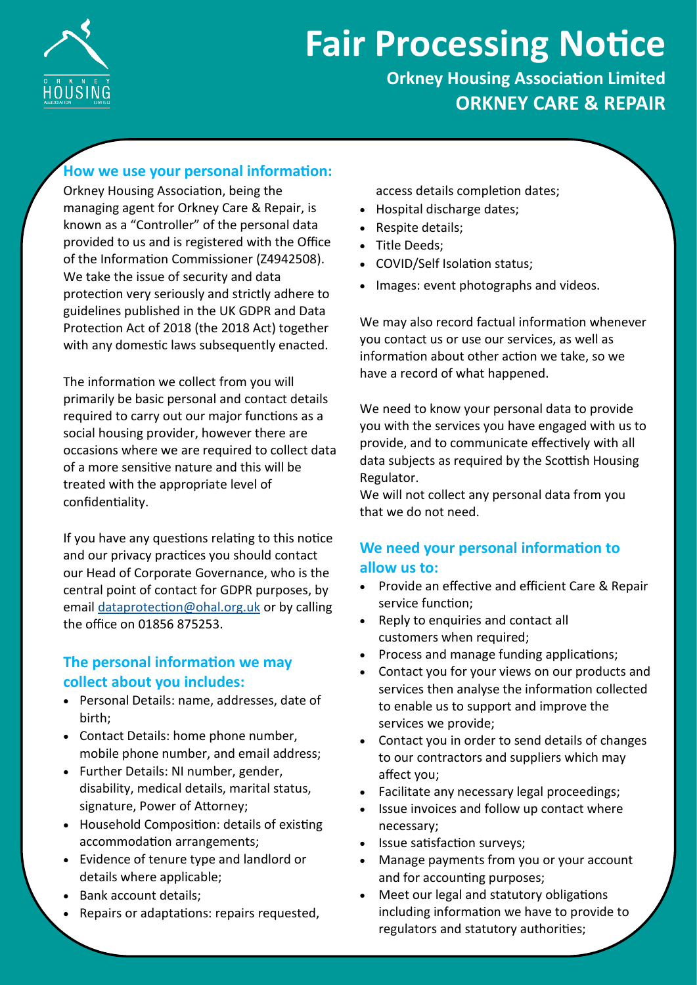

# **Fair Processing Notice**

## **Orkney Housing Association Limited ORKNEY CARE & REPAIR**

## **How we use your personal information:**

Orkney Housing Association, being the managing agent for Orkney Care & Repair, is known as a "Controller" of the personal data provided to us and is registered with the Office of the Information Commissioner (Z4942508). We take the issue of security and data protection very seriously and strictly adhere to guidelines published in the UK GDPR and Data Protection Act of 2018 (the 2018 Act) together with any domestic laws subsequently enacted.

The information we collect from you will primarily be basic personal and contact details required to carry out our major functions as a social housing provider, however there are occasions where we are required to collect data of a more sensitive nature and this will be treated with the appropriate level of confidentiality.

If you have any questions relating to this notice and our privacy practices you should contact our Head of Corporate Governance, who is the central point of contact for GDPR purposes, by email [dataprotection@ohal.org.uk](mailto:dataprotection@ohal.org.uk) or by calling the office on 01856 875253.

### **The personal information we may collect about you includes:**

- Personal Details: name, addresses, date of birth;
- Contact Details: home phone number, mobile phone number, and email address;
- Further Details: NI number, gender, disability, medical details, marital status, signature, Power of Attorney;
- Household Composition: details of existing accommodation arrangements;
- Evidence of tenure type and landlord or details where applicable;
- Bank account details;
- Repairs or adaptations: repairs requested,

access details completion dates;

- Hospital discharge dates;
- Respite details;
- Title Deeds;
- COVID/Self Isolation status;
- Images: event photographs and videos.

We may also record factual information whenever you contact us or use our services, as well as information about other action we take, so we have a record of what happened.

We need to know your personal data to provide you with the services you have engaged with us to provide, and to communicate effectively with all data subjects as required by the Scottish Housing Regulator.

We will not collect any personal data from you that we do not need.

## **We need your personal information to allow us to:**

- Provide an effective and efficient Care & Repair service function;
- Reply to enquiries and contact all customers when required;
- Process and manage funding applications;
- Contact you for your views on our products and services then analyse the information collected to enable us to support and improve the services we provide;
- Contact you in order to send details of changes to our contractors and suppliers which may affect you;
- Facilitate any necessary legal proceedings;
- Issue invoices and follow up contact where necessary;
- Issue satisfaction surveys;
- Manage payments from you or your account and for accounting purposes;
- Meet our legal and statutory obligations including information we have to provide to regulators and statutory authorities;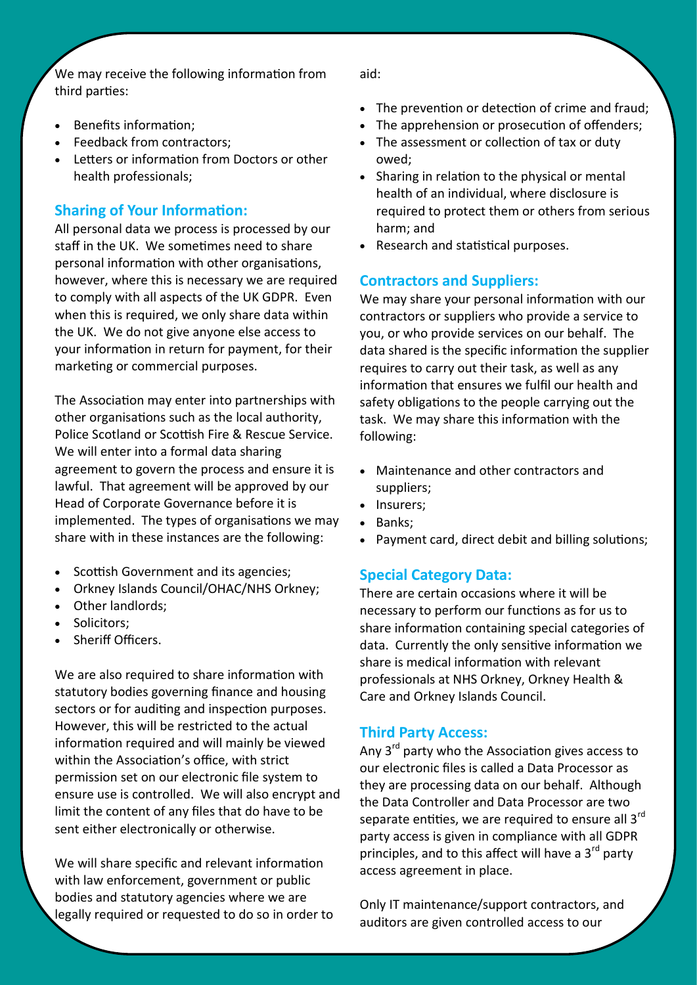We may receive the following information from third parties:

- Benefits information;
- Feedback from contractors;
- Letters or information from Doctors or other health professionals;

#### **Sharing of Your Information:**

All personal data we process is processed by our staff in the UK. We sometimes need to share personal information with other organisations, however, where this is necessary we are required to comply with all aspects of the UK GDPR. Even when this is required, we only share data within the UK. We do not give anyone else access to your information in return for payment, for their marketing or commercial purposes.

The Association may enter into partnerships with other organisations such as the local authority, Police Scotland or Scottish Fire & Rescue Service. We will enter into a formal data sharing agreement to govern the process and ensure it is lawful. That agreement will be approved by our Head of Corporate Governance before it is implemented. The types of organisations we may share with in these instances are the following:

- Scottish Government and its agencies;
- Orkney Islands Council/OHAC/NHS Orkney;
- Other landlords;
- Solicitors;
- Sheriff Officers.

We are also required to share information with statutory bodies governing finance and housing sectors or for auditing and inspection purposes. However, this will be restricted to the actual information required and will mainly be viewed within the Association's office, with strict permission set on our electronic file system to ensure use is controlled. We will also encrypt and limit the content of any files that do have to be sent either electronically or otherwise.

We will share specific and relevant information with law enforcement, government or public bodies and statutory agencies where we are legally required or requested to do so in order to aid:

- The prevention or detection of crime and fraud;
- The apprehension or prosecution of offenders;
- The assessment or collection of tax or duty owed;
- Sharing in relation to the physical or mental health of an individual, where disclosure is required to protect them or others from serious harm; and
- Research and statistical purposes.

#### **Contractors and Suppliers:**

We may share your personal information with our contractors or suppliers who provide a service to you, or who provide services on our behalf. The data shared is the specific information the supplier requires to carry out their task, as well as any information that ensures we fulfil our health and safety obligations to the people carrying out the task. We may share this information with the following:

- Maintenance and other contractors and suppliers;
- Insurers;
- Banks;
- Payment card, direct debit and billing solutions;

#### **Special Category Data:**

There are certain occasions where it will be necessary to perform our functions as for us to share information containing special categories of data. Currently the only sensitive information we share is medical information with relevant professionals at NHS Orkney, Orkney Health & Care and Orkney Islands Council.

#### **Third Party Access:**

Any 3<sup>rd</sup> party who the Association gives access to our electronic files is called a Data Processor as they are processing data on our behalf. Although the Data Controller and Data Processor are two separate entities, we are required to ensure all  $3<sup>rd</sup>$ party access is given in compliance with all GDPR principles, and to this affect will have a  $3<sup>rd</sup>$  party access agreement in place.

Only IT maintenance/support contractors, and auditors are given controlled access to our